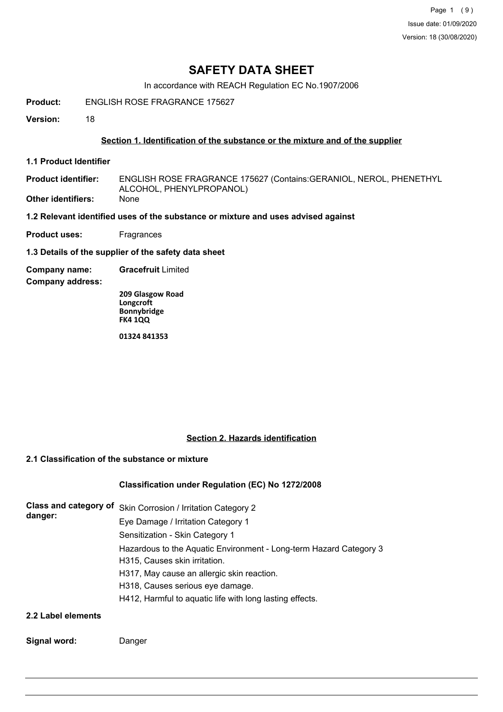Page 1 (9) Issue date: 01/09/2020 Version: 18 (30/08/2020)

## **SAFETY DATA SHEET**

In accordance with REACH Regulation EC No.1907/2006

**Product:** ENGLISH ROSE FRAGRANCE 175627

**Version:** 18

## **Section 1. Identification of the substance or the mixture and of the supplier**

**1.1 Product Identifier**

ENGLISH ROSE FRAGRANCE 175627 (Contains:GERANIOL, NEROL, PHENETHYL ALCOHOL, PHENYLPROPANOL) **Product identifier: Other identifiers:** None

**1.2 Relevant identified uses of the substance or mixture and uses advised against**

- **Product uses:** Fragrances
- **1.3 Details of the supplier of the safety data sheet**
- **Company name: Gracefruit** Limited

**Company address:**

**209 Glasgow Road Longcroft Bonnybridge FK4 1QQ**

**01324 841353**

## **Section 2. Hazards identification**

## **2.1 Classification of the substance or mixture**

## **Classification under Regulation (EC) No 1272/2008**

| danger:            | Class and category of Skin Corrosion / Irritation Category 2                                        |
|--------------------|-----------------------------------------------------------------------------------------------------|
|                    | Eye Damage / Irritation Category 1                                                                  |
|                    | Sensitization - Skin Category 1                                                                     |
|                    | Hazardous to the Aquatic Environment - Long-term Hazard Category 3<br>H315, Causes skin irritation. |
|                    | H317, May cause an allergic skin reaction.                                                          |
|                    | H318, Causes serious eye damage.                                                                    |
|                    | H412, Harmful to aquatic life with long lasting effects.                                            |
| 2.2 Label elements |                                                                                                     |

## **Signal word:** Danger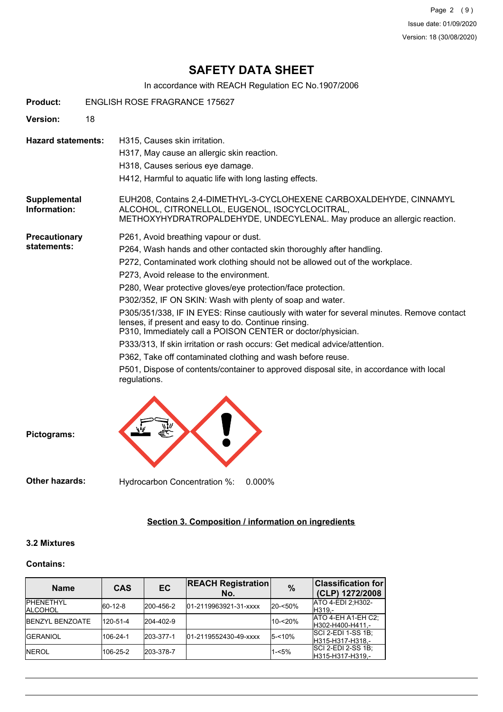Page 2 (9) Issue date: 01/09/2020 Version: 18 (30/08/2020)

## **SAFETY DATA SHEET**

In accordance with REACH Regulation EC No.1907/2006

| <b>Product:</b><br><b>ENGLISH ROSE FRAGRANCE 175627</b> |    |                                                                                                                                                                                                                                                                                                                                                                                                                                                                                                                                                                                                                                                                                                                                                                                                                                                   |  |  |  |  |  |
|---------------------------------------------------------|----|---------------------------------------------------------------------------------------------------------------------------------------------------------------------------------------------------------------------------------------------------------------------------------------------------------------------------------------------------------------------------------------------------------------------------------------------------------------------------------------------------------------------------------------------------------------------------------------------------------------------------------------------------------------------------------------------------------------------------------------------------------------------------------------------------------------------------------------------------|--|--|--|--|--|
| Version:                                                | 18 |                                                                                                                                                                                                                                                                                                                                                                                                                                                                                                                                                                                                                                                                                                                                                                                                                                                   |  |  |  |  |  |
| <b>Hazard statements:</b>                               |    | H315, Causes skin irritation.<br>H317, May cause an allergic skin reaction.<br>H318, Causes serious eye damage.<br>H412, Harmful to aquatic life with long lasting effects.                                                                                                                                                                                                                                                                                                                                                                                                                                                                                                                                                                                                                                                                       |  |  |  |  |  |
| Supplemental<br>Information:                            |    | EUH208, Contains 2,4-DIMETHYL-3-CYCLOHEXENE CARBOXALDEHYDE, CINNAMYL<br>ALCOHOL, CITRONELLOL, EUGENOL, ISOCYCLOCITRAL,<br>METHOXYHYDRATROPALDEHYDE, UNDECYLENAL. May produce an allergic reaction.                                                                                                                                                                                                                                                                                                                                                                                                                                                                                                                                                                                                                                                |  |  |  |  |  |
| Precautionary<br>statements:                            |    | P261, Avoid breathing vapour or dust.<br>P264, Wash hands and other contacted skin thoroughly after handling.<br>P272, Contaminated work clothing should not be allowed out of the workplace.<br>P273, Avoid release to the environment.<br>P280, Wear protective gloves/eye protection/face protection.<br>P302/352, IF ON SKIN: Wash with plenty of soap and water.<br>P305/351/338, IF IN EYES: Rinse cautiously with water for several minutes. Remove contact<br>lenses, if present and easy to do. Continue rinsing.<br>P310, Immediately call a POISON CENTER or doctor/physician.<br>P333/313, If skin irritation or rash occurs: Get medical advice/attention.<br>P362, Take off contaminated clothing and wash before reuse.<br>P501, Dispose of contents/container to approved disposal site, in accordance with local<br>regulations. |  |  |  |  |  |
| Pictograms:                                             |    |                                                                                                                                                                                                                                                                                                                                                                                                                                                                                                                                                                                                                                                                                                                                                                                                                                                   |  |  |  |  |  |

**Other hazards:** Hydrocarbon Concentration %: 0.000%

## **Section 3. Composition / information on ingredients**

## **3.2 Mixtures**

## **Contains:**

| <b>Name</b>                         | <b>CAS</b>  | <b>REACH Registration</b><br>EC<br>No. |                       | $\frac{9}{6}$ | <b>Classification for</b><br>(CLP) 1272/2008  |
|-------------------------------------|-------------|----------------------------------------|-----------------------|---------------|-----------------------------------------------|
| <b>IPHENETHYL</b><br><b>ALCOHOL</b> | $ 60-12-8 $ | 200-456-2                              | 01-2119963921-31-xxxx | 20-<50%       | ATO 4-EDI 2; H302-<br>IH319.-                 |
| <b>BENZYL BENZOATE</b>              | 120-51-4    | 204-402-9                              |                       | $10 - 20%$    | ATO 4-EH A1-EH C2;<br>H302-H400-H411.-        |
| <b>IGERANIOL</b>                    | 106-24-1    | 203-377-1                              | 01-2119552430-49-xxxx | $5 - 10%$     | <b>SCI 2-EDI 1-SS 1B:</b><br>H315-H317-H318.- |
| <b>INEROL</b>                       | 106-25-2    | 203-378-7                              |                       | $1 - 5%$      | <b>SCI 2-EDI 2-SS 1B:</b><br>H315-H317-H319.- |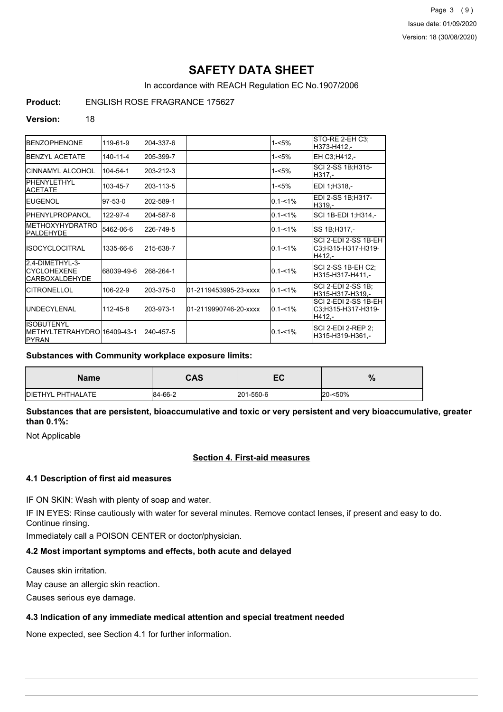Page 3 (9) Issue date: 01/09/2020 Version: 18 (30/08/2020)

## **SAFETY DATA SHEET**

In accordance with REACH Regulation EC No.1907/2006

**Product:** ENGLISH ROSE FRAGRANCE 175627

#### **Version:** 18

| <b>BENZOPHENONE</b>                                                 | 119-61-9       | 204-337-6 |                       | $1 - 5%$    | STO-RE 2-EH C3;<br>H373-H412.-                       |
|---------------------------------------------------------------------|----------------|-----------|-----------------------|-------------|------------------------------------------------------|
| <b>IBENZYL ACETATE</b>                                              | $140 - 11 - 4$ | 205-399-7 |                       | 1-<5%       | EH C3:H412,-                                         |
| ICINNAMYL ALCOHOL                                                   | 104-54-1       | 203-212-3 |                       | 1-<5%       | SCI 2-SS 1B;H315-<br>H317,-                          |
| PHENYLETHYL<br>ACETATE                                              | 103-45-7       | 203-113-5 |                       | 1-<5%       | EDI 1:H318.-                                         |
| <b>I</b> EUGENOL                                                    | 97-53-0        | 202-589-1 |                       | $0.1 - 1\%$ | EDI 2-SS 1B;H317-<br>H319.-                          |
| <b>I</b> PHENYLPROPANOL                                             | 122-97-4       | 204-587-6 |                       | $0.1 - 1\%$ | SCI 1B-EDI 1; H314,-                                 |
| <b>METHOXYHYDRATRO</b><br><b>IPALDEHYDE</b>                         | 5462-06-6      | 226-749-5 |                       | $0.1 - 1\%$ | SS 1B; H317,-                                        |
| IISOCYCLOCITRAL                                                     | 1335-66-6      | 215-638-7 |                       | $0.1 - 1%$  | SCI 2-EDI 2-SS 1B-EH<br>C3;H315-H317-H319-<br>H412.- |
| 2,4-DIMETHYL-3-<br><b>CYCLOHEXENE</b><br> CARBOXALDEHYDE            | 68039-49-6     | 268-264-1 |                       | $0.1 - 1\%$ | SCI 2-SS 1B-EH C2;<br>H315-H317-H411,-               |
| <b>CITRONELLOL</b>                                                  | 106-22-9       | 203-375-0 | 01-2119453995-23-xxxx | $0.1 - 1%$  | SCI 2-EDI 2-SS 1B:<br>H315-H317-H319,-               |
| <b>IUNDECYLENAL</b>                                                 | 112-45-8       | 203-973-1 | 01-2119990746-20-xxxx | $0.1 - 1\%$ | SCI 2-EDI 2-SS 1B-EH<br>C3:H315-H317-H319-<br>H412.- |
| <b>I</b> ISOBUTENYL<br>METHYLTETRAHYDRO 16409-43-1<br><b>IPYRAN</b> |                | 240-457-5 |                       | $0.1 - 1\%$ | SCI 2-EDI 2-REP 2:<br>H315-H319-H361,-               |

## **Substances with Community workplace exposure limits:**

| <b>Name</b>               | <b>CAS</b> | — с<br>cc. | %       |
|---------------------------|------------|------------|---------|
| <b>IDIETHYL PHTHALATE</b> | 84-66-2    | 201-550-6  | 20-<50% |

**Substances that are persistent, bioaccumulative and toxic or very persistent and very bioaccumulative, greater than 0.1%:**

Not Applicable

## **Section 4. First-aid measures**

## **4.1 Description of first aid measures**

IF ON SKIN: Wash with plenty of soap and water.

IF IN EYES: Rinse cautiously with water for several minutes. Remove contact lenses, if present and easy to do. Continue rinsing.

Immediately call a POISON CENTER or doctor/physician.

## **4.2 Most important symptoms and effects, both acute and delayed**

Causes skin irritation.

May cause an allergic skin reaction.

Causes serious eye damage.

## **4.3 Indication of any immediate medical attention and special treatment needed**

None expected, see Section 4.1 for further information.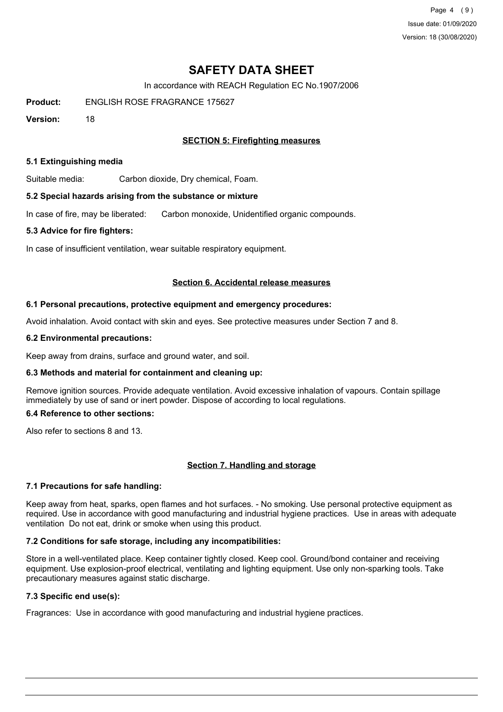Page 4 (9) Issue date: 01/09/2020 Version: 18 (30/08/2020)

## **SAFETY DATA SHEET**

In accordance with REACH Regulation EC No.1907/2006

**Product:** ENGLISH ROSE FRAGRANCE 175627

**Version:** 18

## **SECTION 5: Firefighting measures**

#### **5.1 Extinguishing media**

Suitable media: Carbon dioxide, Dry chemical, Foam.

#### **5.2 Special hazards arising from the substance or mixture**

In case of fire, may be liberated: Carbon monoxide, Unidentified organic compounds.

#### **5.3 Advice for fire fighters:**

In case of insufficient ventilation, wear suitable respiratory equipment.

#### **Section 6. Accidental release measures**

#### **6.1 Personal precautions, protective equipment and emergency procedures:**

Avoid inhalation. Avoid contact with skin and eyes. See protective measures under Section 7 and 8.

#### **6.2 Environmental precautions:**

Keep away from drains, surface and ground water, and soil.

## **6.3 Methods and material for containment and cleaning up:**

Remove ignition sources. Provide adequate ventilation. Avoid excessive inhalation of vapours. Contain spillage immediately by use of sand or inert powder. Dispose of according to local regulations.

## **6.4 Reference to other sections:**

Also refer to sections 8 and 13.

## **Section 7. Handling and storage**

## **7.1 Precautions for safe handling:**

Keep away from heat, sparks, open flames and hot surfaces. - No smoking. Use personal protective equipment as required. Use in accordance with good manufacturing and industrial hygiene practices. Use in areas with adequate ventilation Do not eat, drink or smoke when using this product.

## **7.2 Conditions for safe storage, including any incompatibilities:**

Store in a well-ventilated place. Keep container tightly closed. Keep cool. Ground/bond container and receiving equipment. Use explosion-proof electrical, ventilating and lighting equipment. Use only non-sparking tools. Take precautionary measures against static discharge.

## **7.3 Specific end use(s):**

Fragrances: Use in accordance with good manufacturing and industrial hygiene practices.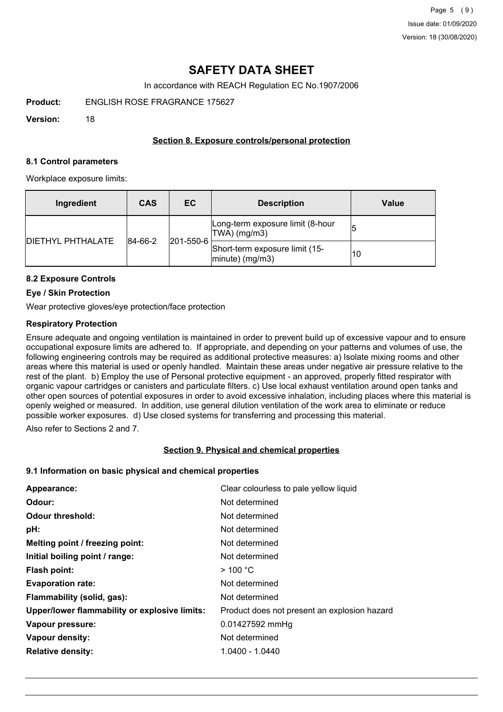## **SAFETY DATA SHEET**

In accordance with REACH Regulation EC No.1907/2006

**Product:** ENGLISH ROSE FRAGRANCE 175627

**Version:** 18

## **Section 8. Exposure controls/personal protection**

#### **8.1 Control parameters**

Workplace exposure limits:

| Ingredient               | <b>CAS</b> | EC.               | <b>Description</b>                                       | Value |
|--------------------------|------------|-------------------|----------------------------------------------------------|-------|
| <b>DIETHYL PHTHALATE</b> | 84-66-2    | $ 201 - 550 - 6 $ | Long-term exposure limit (8-hour<br>TWA) (mg/m3)         |       |
|                          |            |                   | Short-term exposure limit (15-<br>$ $ minute $ $ (mg/m3) | 10    |

## **8.2 Exposure Controls**

## **Eye / Skin Protection**

Wear protective gloves/eye protection/face protection

## **Respiratory Protection**

Ensure adequate and ongoing ventilation is maintained in order to prevent build up of excessive vapour and to ensure occupational exposure limits are adhered to. If appropriate, and depending on your patterns and volumes of use, the following engineering controls may be required as additional protective measures: a) Isolate mixing rooms and other areas where this material is used or openly handled. Maintain these areas under negative air pressure relative to the rest of the plant. b) Employ the use of Personal protective equipment - an approved, properly fitted respirator with organic vapour cartridges or canisters and particulate filters. c) Use local exhaust ventilation around open tanks and other open sources of potential exposures in order to avoid excessive inhalation, including places where this material is openly weighed or measured. In addition, use general dilution ventilation of the work area to eliminate or reduce possible worker exposures. d) Use closed systems for transferring and processing this material.

Also refer to Sections 2 and 7.

## **Section 9. Physical and chemical properties**

## **9.1 Information on basic physical and chemical properties**

| Appearance:                                   | Clear colourless to pale yellow liquid       |
|-----------------------------------------------|----------------------------------------------|
| Odour:                                        | Not determined                               |
| <b>Odour threshold:</b>                       | Not determined                               |
| pH:                                           | Not determined                               |
| Melting point / freezing point:               | Not determined                               |
| Initial boiling point / range:                | Not determined                               |
| Flash point:                                  | $>$ 100 °C                                   |
| <b>Evaporation rate:</b>                      | Not determined                               |
| Flammability (solid, gas):                    | Not determined                               |
| Upper/lower flammability or explosive limits: | Product does not present an explosion hazard |
| Vapour pressure:                              | 0.01427592 mmHg                              |
| Vapour density:                               | Not determined                               |
| <b>Relative density:</b>                      | 1.0400 - 1.0440                              |
|                                               |                                              |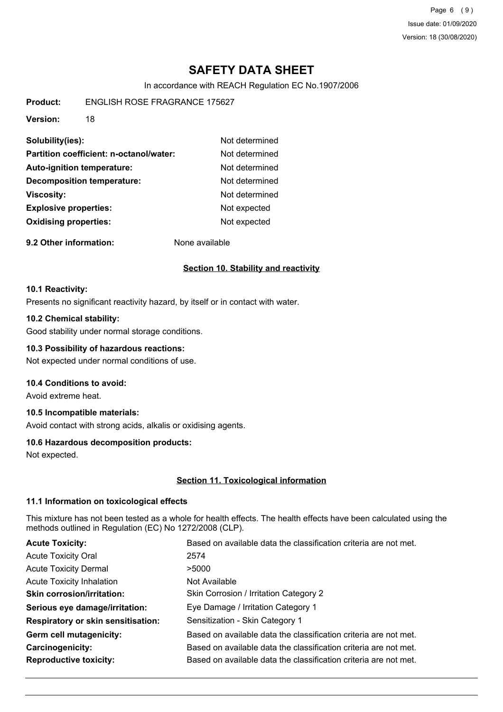Page 6 (9) Issue date: 01/09/2020 Version: 18 (30/08/2020)

## **SAFETY DATA SHEET**

In accordance with REACH Regulation EC No.1907/2006

**Product:** ENGLISH ROSE FRAGRANCE 175627

**Version:** 18

| Solubility(ies):                        | Not determined |
|-----------------------------------------|----------------|
| Partition coefficient: n-octanol/water: | Not determined |
| <b>Auto-ignition temperature:</b>       | Not determined |
| <b>Decomposition temperature:</b>       | Not determined |
| <b>Viscosity:</b>                       | Not determined |
| <b>Explosive properties:</b>            | Not expected   |
| <b>Oxidising properties:</b>            | Not expected   |

**9.2 Other information:** None available

## **Section 10. Stability and reactivity**

#### **10.1 Reactivity:**

Presents no significant reactivity hazard, by itself or in contact with water.

## **10.2 Chemical stability:**

Good stability under normal storage conditions.

## **10.3 Possibility of hazardous reactions:**

Not expected under normal conditions of use.

## **10.4 Conditions to avoid:**

Avoid extreme heat.

## **10.5 Incompatible materials:**

Avoid contact with strong acids, alkalis or oxidising agents.

## **10.6 Hazardous decomposition products:**

Not expected.

## **Section 11. Toxicological information**

## **11.1 Information on toxicological effects**

This mixture has not been tested as a whole for health effects. The health effects have been calculated using the methods outlined in Regulation (EC) No 1272/2008 (CLP).

| <b>Acute Toxicity:</b>                    | Based on available data the classification criteria are not met. |
|-------------------------------------------|------------------------------------------------------------------|
| <b>Acute Toxicity Oral</b>                | 2574                                                             |
| <b>Acute Toxicity Dermal</b>              | >5000                                                            |
| <b>Acute Toxicity Inhalation</b>          | Not Available                                                    |
| <b>Skin corrosion/irritation:</b>         | Skin Corrosion / Irritation Category 2                           |
| Serious eye damage/irritation:            | Eye Damage / Irritation Category 1                               |
| <b>Respiratory or skin sensitisation:</b> | Sensitization - Skin Category 1                                  |
| Germ cell mutagenicity:                   | Based on available data the classification criteria are not met. |
| Carcinogenicity:                          | Based on available data the classification criteria are not met. |
| <b>Reproductive toxicity:</b>             | Based on available data the classification criteria are not met. |
|                                           |                                                                  |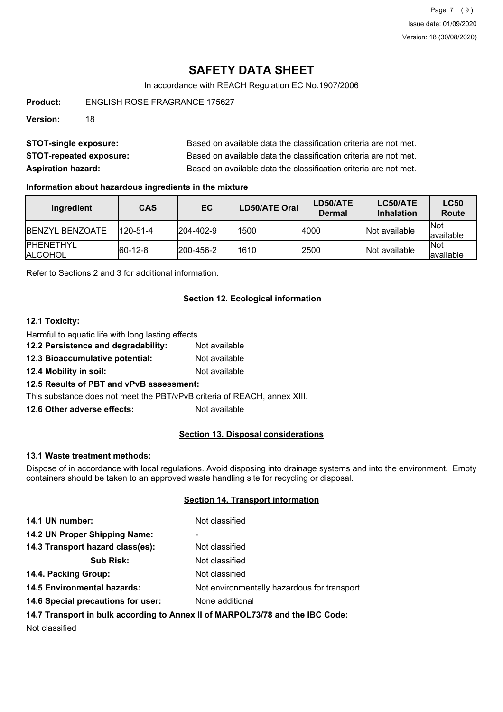Page 7 (9) Issue date: 01/09/2020 Version: 18 (30/08/2020)

## **SAFETY DATA SHEET**

In accordance with REACH Regulation EC No.1907/2006

**Product:** ENGLISH ROSE FRAGRANCE 175627

**Version:** 18

| <b>STOT-single exposure:</b>   | Based on available data the classification criteria are not met. |
|--------------------------------|------------------------------------------------------------------|
| <b>STOT-repeated exposure:</b> | Based on available data the classification criteria are not met. |
| <b>Aspiration hazard:</b>      | Based on available data the classification criteria are not met. |

## **Information about hazardous ingredients in the mixture**

| Ingredient                          | <b>CAS</b>     | EC.               | LD50/ATE Oral | LD50/ATE<br>Dermal | LC50/ATE<br><b>Inhalation</b> | <b>LC50</b><br><b>Route</b> |
|-------------------------------------|----------------|-------------------|---------------|--------------------|-------------------------------|-----------------------------|
| <b>IBENZYL BENZOATE</b>             | $120 - 51 - 4$ | $ 204 - 402 - 9 $ | 1500          | 4000               | Not available                 | <b>Not</b><br>lavailable    |
| <b>IPHENETHYL</b><br><b>ALCOHOL</b> | $ 60-12-8 $    | $ 200 - 456 - 2 $ | 1610          | 2500               | Not available                 | <b>Not</b><br>lavailable    |

Refer to Sections 2 and 3 for additional information.

## **Section 12. Ecological information**

## **12.1 Toxicity:**

Harmful to aquatic life with long lasting effects.

- **12.2 Persistence and degradability:** Not available
- **12.3 Bioaccumulative potential:** Not available
- **12.4 Mobility in soil:** Not available

## **12.5 Results of PBT and vPvB assessment:**

This substance does not meet the PBT/vPvB criteria of REACH, annex XIII.

**12.6 Other adverse effects:** Not available

## **Section 13. Disposal considerations**

#### **13.1 Waste treatment methods:**

Dispose of in accordance with local regulations. Avoid disposing into drainage systems and into the environment. Empty containers should be taken to an approved waste handling site for recycling or disposal.

## **Section 14. Transport information**

| 14.1 UN number:                                                               | Not classified                              |  |
|-------------------------------------------------------------------------------|---------------------------------------------|--|
|                                                                               |                                             |  |
| 14.2 UN Proper Shipping Name:                                                 | -                                           |  |
| 14.3 Transport hazard class(es):                                              | Not classified                              |  |
| <b>Sub Risk:</b>                                                              | Not classified                              |  |
| 14.4. Packing Group:                                                          | Not classified                              |  |
| <b>14.5 Environmental hazards:</b>                                            | Not environmentally hazardous for transport |  |
| 14.6 Special precautions for user:                                            | None additional                             |  |
| 14.7 Transport in bulk according to Annex II of MARPOL73/78 and the IBC Code: |                                             |  |

Not classified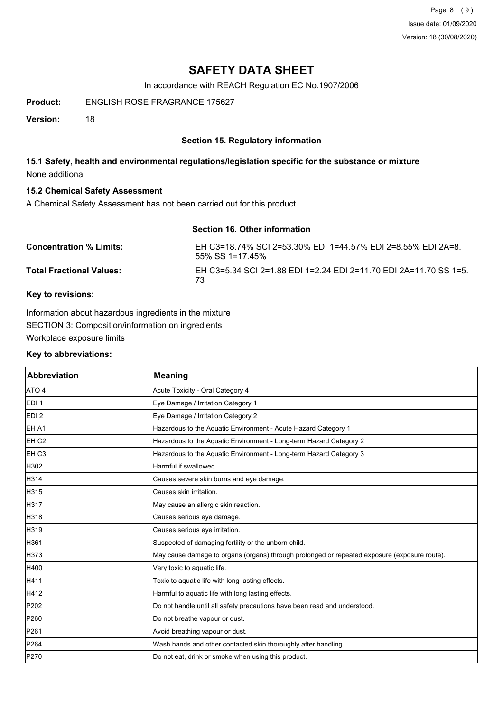Page 8 (9) Issue date: 01/09/2020 Version: 18 (30/08/2020)

## **SAFETY DATA SHEET**

In accordance with REACH Regulation EC No.1907/2006

**Product:** ENGLISH ROSE FRAGRANCE 175627

**Version:** 18

## **Section 15. Regulatory information**

## **15.1 Safety, health and environmental regulations/legislation specific for the substance or mixture** None additional

## **15.2 Chemical Safety Assessment**

A Chemical Safety Assessment has not been carried out for this product.

# **Section 16. Other information Concentration % Limits:** EH C3=18.74% SCI 2=53.30% EDI 1=44.57% EDI 2=8.55% EDI 2A=8.

55% SS 1=17.45% **Total Fractional Values:** EH C3=5.34 SCI 2=1.88 EDI 1=2.24 EDI 2=11.70 EDI 2A=11.70 SS 1=5. 73

## **Key to revisions:**

Information about hazardous ingredients in the mixture SECTION 3: Composition/information on ingredients Workplace exposure limits

#### **Key to abbreviations:**

| <b>Abbreviation</b> | <b>Meaning</b>                                                                               |
|---------------------|----------------------------------------------------------------------------------------------|
| ATO 4               | Acute Toxicity - Oral Category 4                                                             |
| EDI <sub>1</sub>    | Eye Damage / Irritation Category 1                                                           |
| EDI <sub>2</sub>    | Eye Damage / Irritation Category 2                                                           |
| EH A1               | Hazardous to the Aquatic Environment - Acute Hazard Category 1                               |
| EH <sub>C2</sub>    | Hazardous to the Aquatic Environment - Long-term Hazard Category 2                           |
| EH <sub>C3</sub>    | Hazardous to the Aquatic Environment - Long-term Hazard Category 3                           |
| H302                | Harmful if swallowed.                                                                        |
| H314                | Causes severe skin burns and eye damage.                                                     |
| H315                | Causes skin irritation.                                                                      |
| H317                | May cause an allergic skin reaction.                                                         |
| H318                | Causes serious eye damage.                                                                   |
| H319                | Causes serious eye irritation.                                                               |
| H361                | Suspected of damaging fertility or the unborn child.                                         |
| H373                | May cause damage to organs (organs) through prolonged or repeated exposure (exposure route). |
| H400                | Very toxic to aquatic life.                                                                  |
| H411                | Toxic to aquatic life with long lasting effects.                                             |
| H412                | Harmful to aquatic life with long lasting effects.                                           |
| P202                | Do not handle until all safety precautions have been read and understood.                    |
| P260                | Do not breathe vapour or dust.                                                               |
| P261                | Avoid breathing vapour or dust.                                                              |
| P264                | Wash hands and other contacted skin thoroughly after handling.                               |
| P270                | Do not eat, drink or smoke when using this product.                                          |